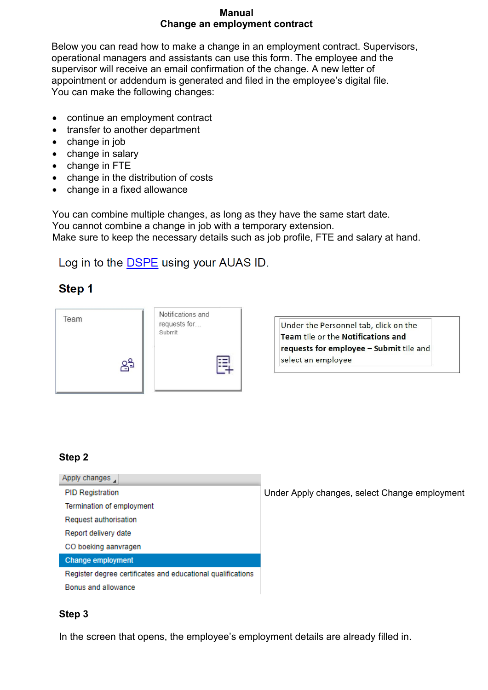#### **Manual Change an employment contract**

Below you can read how to make a change in an employment contract. Supervisors, operational managers and assistants can use this form. The employee and the supervisor will receive an email confirmation of the change. A new letter of appointment or addendum is generated and filed in the employee's digital file. You can make the following changes:

- continue an employment contract
- transfer to another department
- change in job
- change in salary
- change in FTE
- change in the distribution of costs
- change in a fixed allowance

You can combine multiple changes, as long as they have the same start date. You cannot combine a change in job with a temporary extension. Make sure to keep the necessary details such as job profile, FTE and salary at hand.

# Log in to the **DSPE** using your AUAS ID.

## Step 1



Under the Personnel tab, click on the Team tile or the Notifications and requests for employee - Submit tile and select an employee

## **Step 2**

| Apply changes,                                              |
|-------------------------------------------------------------|
| <b>PID Registration</b>                                     |
| Termination of employment                                   |
| Request authorisation                                       |
| Report delivery date                                        |
| CO boeking aanvragen                                        |
| <b>Change employment</b>                                    |
| Register degree certificates and educational qualifications |
| Bonus and allowance                                         |
|                                                             |

Under Apply changes, select Change employment

## **Step 3**

In the screen that opens, the employee's employment details are already filled in.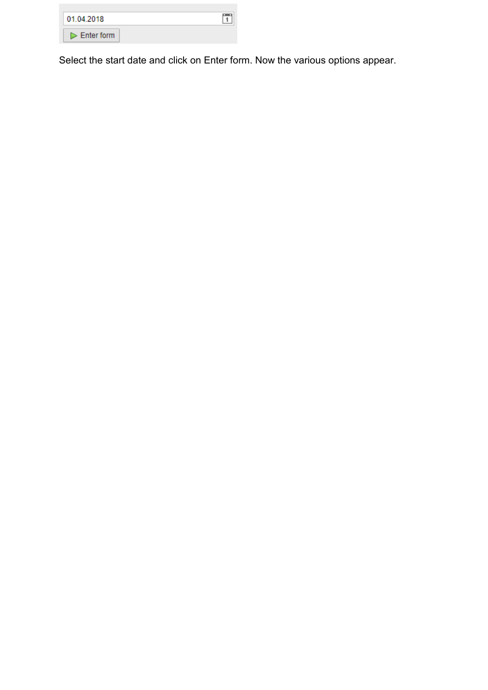| 01.04.2018                  |  |
|-----------------------------|--|
| $\triangleright$ Enter form |  |

Select the start date and click on Enter form. Now the various options appear.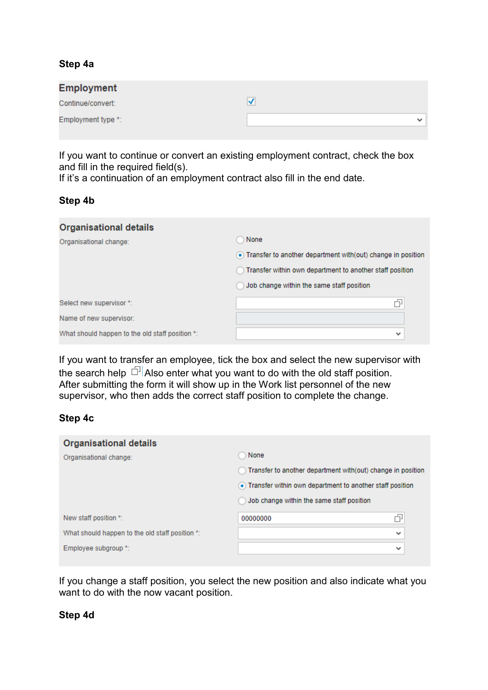### **Step 4a**

| <b>Employment</b>  |              |
|--------------------|--------------|
| Continue/convert:  |              |
| Employment type *: | $\checkmark$ |
|                    |              |

If you want to continue or convert an existing employment contract, check the box and fill in the required field(s).

If it's a continuation of an employment contract also fill in the end date.

#### **Step 4b**

| None                                                           |
|----------------------------------------------------------------|
| • Transfer to another department with (out) change in position |
| Transfer within own department to another staff position       |
| Job change within the same staff position                      |
| 币                                                              |
|                                                                |
| $\checkmark$                                                   |
|                                                                |

If you want to transfer an employee, tick the box and select the new supervisor with the search help  $\Box$  Also enter what you want to do with the old staff position. After submitting the form it will show up in the Work list personnel of the new supervisor, who then adds the correct staff position to complete the change.

#### **Step 4c**

| <b>Organisational details</b>                   |                                                             |
|-------------------------------------------------|-------------------------------------------------------------|
| Organisational change:                          | None                                                        |
|                                                 | Transfer to another department with(out) change in position |
|                                                 | • Transfer within own department to another staff position  |
|                                                 | Job change within the same staff position                   |
| New staff position *:                           | ð<br>00000000                                               |
| What should happen to the old staff position *: | $\checkmark$                                                |
| Employee subgroup *:                            | $\checkmark$                                                |
|                                                 |                                                             |

If you change a staff position, you select the new position and also indicate what you want to do with the now vacant position.

#### **Step 4d**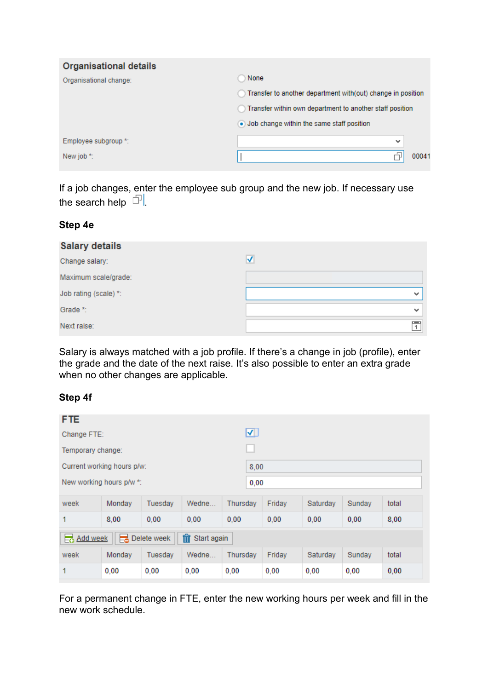| <b>Organisational details</b> |                                                             |
|-------------------------------|-------------------------------------------------------------|
| Organisational change:        | None                                                        |
|                               | Transfer to another department with(out) change in position |
|                               | Transfer within own department to another staff position    |
|                               | • Job change within the same staff position                 |
| Employee subgroup *:          | $\checkmark$                                                |
| New job *:                    | 00041                                                       |

If a job changes, enter the employee sub group and the new job. If necessary use the search help  $\Box$ 

#### **Step 4e**

| <b>Salary details</b> |              |
|-----------------------|--------------|
| Change salary:        | √            |
| Maximum scale/grade:  |              |
| Job rating (scale) *: | $\checkmark$ |
| Grade *:              | $\checkmark$ |
| Next raise:           |              |

Salary is always matched with a job profile. If there's a change in job (profile), enter the grade and the date of the next raise. It's also possible to enter an extra grade when no other changes are applicable.

## **Step 4f**

| <b>FTE</b>                                  |        |         |       |                         |  |        |          |        |       |
|---------------------------------------------|--------|---------|-------|-------------------------|--|--------|----------|--------|-------|
| Change FTE:                                 |        |         |       | $\overline{\mathbf{v}}$ |  |        |          |        |       |
| Temporary change:                           |        |         |       |                         |  |        |          |        |       |
| Current working hours p/w:                  |        |         |       | 8,00                    |  |        |          |        |       |
| New working hours p/w *:                    |        |         |       | 0,00                    |  |        |          |        |       |
| week                                        | Monday | Tuesday | Wedne | Thursday                |  | Friday | Saturday | Sunday | total |
| 1                                           | 8,00   | 0.00    | 0.00  | 0.00                    |  | 0.00   | 0.00     | 0.00   | 8,00  |
| 侖<br>Delete week<br>add week<br>Start again |        |         |       |                         |  |        |          |        |       |
| week                                        | Monday | Tuesday | Wedne | Thursday                |  | Friday | Saturday | Sunday | total |
| 1                                           | 0.00   | 0.00    | 0.00  | 0.00                    |  | 0.00   | 0.00     | 0,00   | 0,00  |

For a permanent change in FTE, enter the new working hours per week and fill in the new work schedule.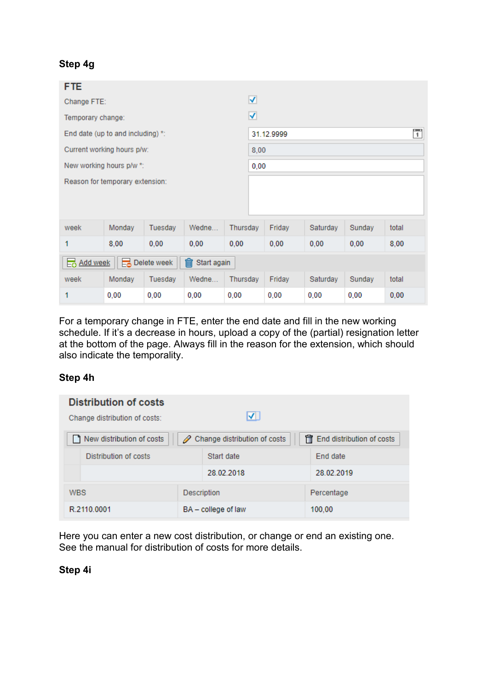## **Step 4g**

| <b>FTE</b>                                  |                                   |         |       |          |            |        |          |        |                |  |
|---------------------------------------------|-----------------------------------|---------|-------|----------|------------|--------|----------|--------|----------------|--|
| Change FTE:                                 |                                   |         |       |          | ⊽          |        |          |        |                |  |
| Temporary change:                           |                                   |         |       |          | ⊽          |        |          |        |                |  |
|                                             | End date (up to and including) *: |         |       |          | 31.12.9999 |        |          |        | $\overline{1}$ |  |
|                                             | Current working hours p/w:        |         |       |          | 8,00       |        |          |        |                |  |
|                                             | New working hours p/w *:          |         |       |          | 0,00       |        |          |        |                |  |
|                                             | Reason for temporary extension:   |         |       |          |            |        |          |        |                |  |
|                                             |                                   |         |       |          |            |        |          |        |                |  |
|                                             |                                   |         |       |          |            |        |          |        |                |  |
| week                                        | Monday                            | Tuesday | Wedne | Thursday |            | Friday | Saturday | Sunday | total          |  |
| 1                                           | 8,00                              | 0,00    | 0,00  | 0,00     |            | 0,00   | 0,00     | 0,00   | 8,00           |  |
| 俞<br>Delete week<br>Start again<br>add week |                                   |         |       |          |            |        |          |        |                |  |
| week                                        | Monday                            | Tuesday | Wedne | Thursday |            | Friday | Saturday | Sunday | total          |  |
| 1                                           | 0,00                              | 0,00    | 0,00  | 0,00     |            | 0,00   | 0,00     | 0,00   | 0,00           |  |

For a temporary change in FTE, enter the end date and fill in the new working schedule. If it's a decrease in hours, upload a copy of the (partial) resignation letter at the bottom of the page. Always fill in the reason for the extension, which should also indicate the temporality.

#### **Step 4h**

| <b>Distribution of costs</b><br>Change distribution of costs: | VI                                      |                              |
|---------------------------------------------------------------|-----------------------------------------|------------------------------|
| New distribution of costs                                     | ightarread Change distribution of costs | ff End distribution of costs |
| Distribution of costs                                         | Start date                              | <b>End date</b>              |
|                                                               | 28.02.2018                              | 28 02 2019                   |
| <b>WBS</b>                                                    | <b>Description</b>                      | Percentage                   |
| R.2110.0001                                                   | BA - college of law                     | 100.00                       |

Here you can enter a new cost distribution, or change or end an existing one. See the manual for distribution of costs for more details.

**Step 4i**